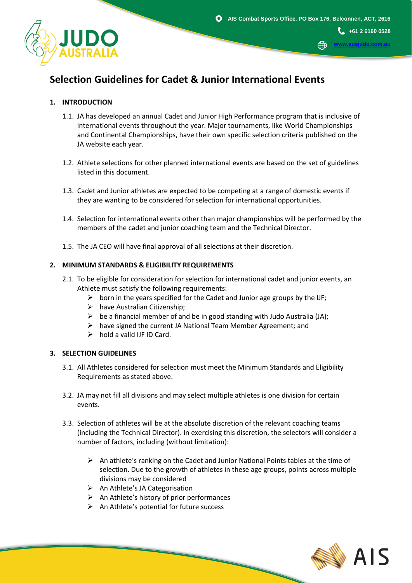∰

**+61 2 6160 0528 [www.ausjudo.com.au](http://www.ausjudo.com.au/)**



## **1. INTRODUCTION**

- 1.1. JA has developed an annual Cadet and Junior High Performance program that is inclusive of international events throughout the year. Major tournaments, like World Championships and Continental Championships, have their own specific selection criteria published on the JA website each year.
- 1.2. Athlete selections for other planned international events are based on the set of guidelines listed in this document.
- 1.3. Cadet and Junior athletes are expected to be competing at a range of domestic events if they are wanting to be considered for selection for international opportunities.
- 1.4. Selection for international events other than major championships will be performed by the members of the cadet and junior coaching team and the Technical Director.
- 1.5. The JA CEO will have final approval of all selections at their discretion.

## **2. MINIMUM STANDARDS & ELIGIBILITY REQUIREMENTS**

- 2.1. To be eligible for consideration for selection for international cadet and junior events, an Athlete must satisfy the following requirements:
	- $\triangleright$  born in the years specified for the Cadet and Junior age groups by the IJF;
	- ➢ have Australian Citizenship;
	- $\triangleright$  be a financial member of and be in good standing with Judo Australia (JA);
	- $\triangleright$  have signed the current JA National Team Member Agreement; and
	- $\triangleright$  hold a valid IJF ID Card.

## **3. SELECTION GUIDELINES**

- 3.1. All Athletes considered for selection must meet the Minimum Standards and Eligibility Requirements as stated above.
- 3.2. JA may not fill all divisions and may select multiple athletes is one division for certain events.
- 3.3. Selection of athletes will be at the absolute discretion of the relevant coaching teams (including the Technical Director). In exercising this discretion, the selectors will consider a number of factors, including (without limitation):
	- $\triangleright$  An athlete's ranking on the Cadet and Junior National Points tables at the time of selection. Due to the growth of athletes in these age groups, points across multiple divisions may be considered
	- ➢ An Athlete's JA Categorisation
	- $\triangleright$  An Athlete's history of prior performances
	- ➢ An Athlete's potential for future success